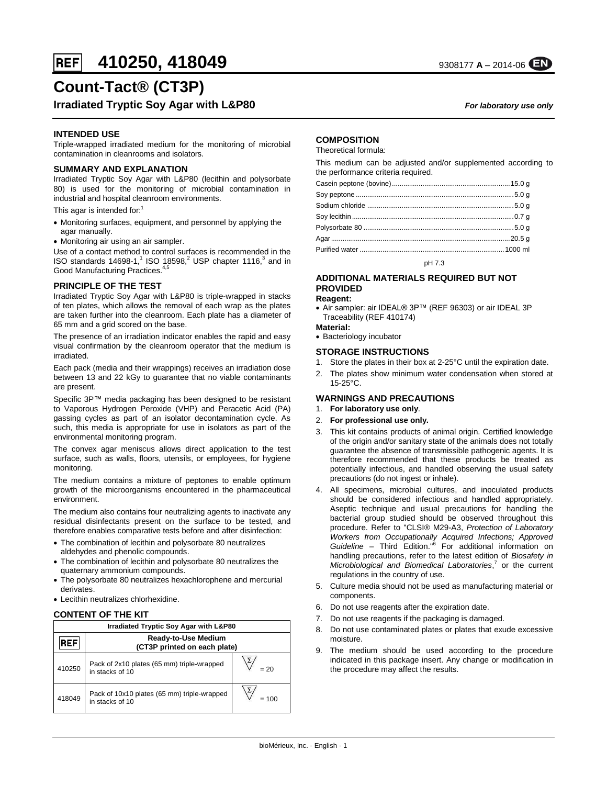# **Count-Tact® (CT3P)**

# **Irradiated Tryptic Soy Agar with L&P80** *For laboratory use only*

# **INTENDED USE**

Triple-wrapped irradiated medium for the monitoring of microbial contamination in cleanrooms and isolators*.*

### **SUMMARY AND EXPLANATION**

Irradiated Tryptic Soy Agar with L&P80 (lecithin and polysorbate 80) is used for the monitoring of microbial contamination in industrial and hospital cleanroom environments.

This agar is intended for:<sup>1</sup>

- Monitoring surfaces, equipment, and personnel by applying the agar manually.
- Monitoring air using an air sampler.

Use of a contact method to control surfaces is recommended in the ISO standards 14698-1,<sup>1</sup> ISO 18598,<sup>2</sup> USP chapter 1116,<sup>3</sup> and in Good Manufacturing Practices.<sup>4,5</sup>

#### **PRINCIPLE OF THE TEST**

Irradiated Tryptic Soy Agar with L&P80 is triple-wrapped in stacks of ten plates, which allows the removal of each wrap as the plates are taken further into the cleanroom. Each plate has a diameter of 65 mm and a grid scored on the base.

The presence of an irradiation indicator enables the rapid and easy visual confirmation by the cleanroom operator that the medium is irradiated.

Each pack (media and their wrappings) receives an irradiation dose between 13 and 22 kGy to guarantee that no viable contaminants are present.

Specific 3P™ media packaging has been designed to be resistant to Vaporous Hydrogen Peroxide (VHP) and Peracetic Acid (PA) gassing cycles as part of an isolator decontamination cycle. As such, this media is appropriate for use in isolators as part of the environmental monitoring program.

The convex agar meniscus allows direct application to the test surface, such as walls, floors, utensils, or employees, for hygiene monitoring.

The medium contains a mixture of peptones to enable optimum growth of the microorganisms encountered in the pharmaceutical environment.

The medium also contains four neutralizing agents to inactivate any residual disinfectants present on the surface to be tested, and therefore enables comparative tests before and after disinfection:

- The combination of lecithin and polysorbate 80 neutralizes aldehydes and phenolic compounds.
- The combination of lecithin and polysorbate 80 neutralizes the quaternary ammonium compounds.
- The polysorbate 80 neutralizes hexachlorophene and mercurial derivates.
- Lecithin neutralizes chlorhexidine.

# **CONTENT OF THE KIT**

| Irradiated Tryptic Soy Agar with L&P80 |                                                                |        |  |  |
|----------------------------------------|----------------------------------------------------------------|--------|--|--|
| REF                                    | <b>Ready-to-Use Medium</b><br>(CT3P printed on each plate)     |        |  |  |
| 410250                                 | Pack of 2x10 plates (65 mm) triple-wrapped<br>in stacks of 10  | $= 20$ |  |  |
| 418049                                 | Pack of 10x10 plates (65 mm) triple-wrapped<br>in stacks of 10 | = 100  |  |  |

# **COMPOSITION**

Theoretical formula:

This medium can be adjusted and/or supplemented according to the performance criteria required.

pH 7.3

#### **ADDITIONAL MATERIALS REQUIRED BUT NOT PROVIDED**

#### **Reagent:**

- Air sampler: air IDEAL® 3P™ (REF 96303) or air IDEAL 3P Traceability (REF 410174)
- **Material:**
- Bacteriology incubator

#### **STORAGE INSTRUCTIONS**

- 1. Store the plates in their box at 2-25°C until the expiration date.
- 2. The plates show minimum water condensation when stored at 15-25°C.

# **WARNINGS AND PRECAUTIONS**

- 1. **For laboratory use only**.
- 2. **For professional use only.**
- 3. This kit contains products of animal origin. Certified knowledge of the origin and/or sanitary state of the animals does not totally guarantee the absence of transmissible pathogenic agents. It is therefore recommended that these products be treated as potentially infectious, and handled observing the usual safety precautions (do not ingest or inhale).
- 4. All specimens, microbial cultures, and inoculated products should be considered infectious and handled appropriately. Aseptic technique and usual precautions for handling the bacterial group studied should be observed throughout this procedure. Refer to "CLSI® M29-A3, *Protection of Laboratory*  Workers from Occupationally Acquired Infections; Approved<br>Guideline – Third Edition."<sup>6</sup> For additional information on handling precautions, refer to the latest edition of *Biosafety in Microbiological and Biomedical Laboratories*, 7 or the current regulations in the country of use.
- 5. Culture media should not be used as manufacturing material or components.
- 6. Do not use reagents after the expiration date.
- 7. Do not use reagents if the packaging is damaged.
- 8. Do not use contaminated plates or plates that exude excessive moisture.
- 9. The medium should be used according to the procedure indicated in this package insert. Any change or modification in the procedure may affect the results.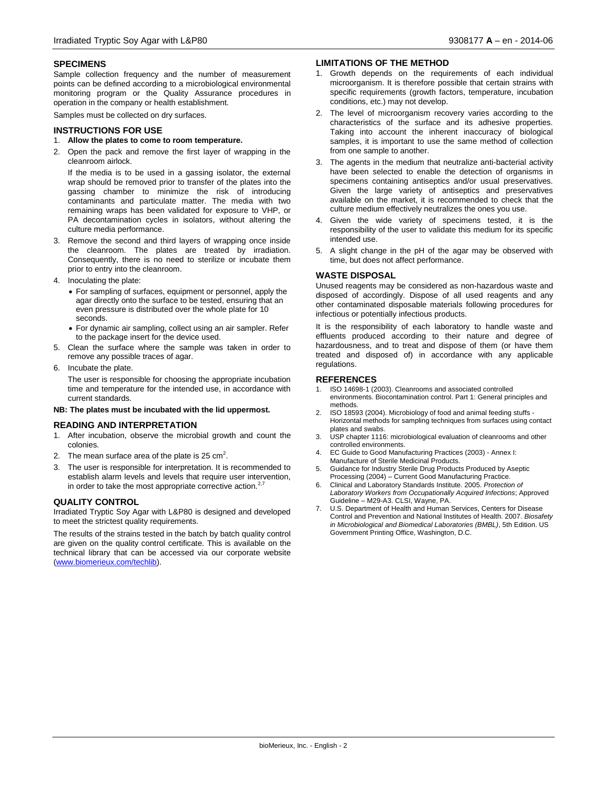#### **SPECIMENS**

Sample collection frequency and the number of measurement points can be defined according to a microbiological environmental monitoring program or the Quality Assurance procedures in operation in the company or health establishment.

Samples must be collected on dry surfaces.

#### **INSTRUCTIONS FOR USE**

#### 1. **Allow the plates to come to room temperature.**

2. Open the pack and remove the first layer of wrapping in the cleanroom airlock.

If the media is to be used in a gassing isolator, the external wrap should be removed prior to transfer of the plates into the gassing chamber to minimize the risk of introducing contaminants and particulate matter. The media with two remaining wraps has been validated for exposure to VHP, or PA decontamination cycles in isolators, without altering the culture media performance.

- 3. Remove the second and third layers of wrapping once inside the cleanroom. The plates are treated by irradiation. Consequently, there is no need to sterilize or incubate them prior to entry into the cleanroom.
- 4. Inoculating the plate:
	- For sampling of surfaces, equipment or personnel, apply the agar directly onto the surface to be tested, ensuring that an even pressure is distributed over the whole plate for 10 seconds.
	- For dynamic air sampling, collect using an air sampler. Refer to the package insert for the device used.
- 5. Clean the surface where the sample was taken in order to remove any possible traces of agar.
- 6. Incubate the plate.

The user is responsible for choosing the appropriate incubation time and temperature for the intended use, in accordance with current standards.

#### **NB: The plates must be incubated with the lid uppermost.**

#### **READING AND INTERPRETATION**

- 1. After incubation, observe the microbial growth and count the colonies.
- 2. The mean surface area of the plate is 25  $\text{cm}^2$ .
- 3. The user is responsible for interpretation. It is recommended to establish alarm levels and levels that require user intervention, in order to take the most appropriate corrective action. $<sup>2</sup>$ </sup>

#### **QUALITY CONTROL**

Irradiated Tryptic Soy Agar with L&P80 is designed and developed to meet the strictest quality requirements.

The results of the strains tested in the batch by batch quality control are given on the quality control certificate. This is available on the technical library that can be accessed via our corporate website [\(www.biomerieux.com/techlib\)](http://www.biomerieux.com/techlib).

#### **LIMITATIONS OF THE METHOD**

- 1. Growth depends on the requirements of each individual microorganism. It is therefore possible that certain strains with specific requirements (growth factors, temperature, incubation conditions, etc.) may not develop.
- 2. The level of microorganism recovery varies according to the characteristics of the surface and its adhesive properties. Taking into account the inherent inaccuracy of biological samples, it is important to use the same method of collection from one sample to another.
- 3. The agents in the medium that neutralize anti-bacterial activity have been selected to enable the detection of organisms in specimens containing antiseptics and/or usual preservatives. Given the large variety of antiseptics and preservatives available on the market, it is recommended to check that the culture medium effectively neutralizes the ones you use.
- 4. Given the wide variety of specimens tested, it is the responsibility of the user to validate this medium for its specific intended use.
- 5. A slight change in the pH of the agar may be observed with time, but does not affect performance.

#### **WASTE DISPOSAL**

Unused reagents may be considered as non-hazardous waste and disposed of accordingly. Dispose of all used reagents and any other contaminated disposable materials following procedures for infectious or potentially infectious products.

It is the responsibility of each laboratory to handle waste and effluents produced according to their nature and degree of hazardousness, and to treat and dispose of them (or have them treated and disposed of) in accordance with any applicable regulations.

#### **REFERENCES**

- 1. ISO 14698-1 (2003). Cleanrooms and associated controlled environments. Biocontamination control. Part 1: General principles and methods.
- 2. ISO 18593 (2004). Microbiology of food and animal feeding stuffs Horizontal methods for sampling techniques from surfaces using contact plates and swabs.
- USP chapter 1116: microbiological evaluation of cleanrooms and other controlled environments.
- 4. EC Guide to Good Manufacturing Practices (2003) Annex I: Manufacture of Sterile Medicinal Products.
- 5. Guidance for Industry Sterile Drug Products Produced by Aseptic Processing (2004) – Current Good Manufacturing Practice.
- 6. Clinical and Laboratory Standards Institute. 2005. *Protection of Laboratory Workers from Occupationally Acquired Infections*; Approved Guideline – M29-A3. CLSI, Wayne, PA.
- **7. U.S. Department of Health and Human Services, Centers for Disease** Control and Prevention and National Institutes of Health. 2007. *Biosafety in Microbiological and Biomedical Laboratories (BMBL)*, 5th Edition. US Government Printing Office, Washington, D.C.